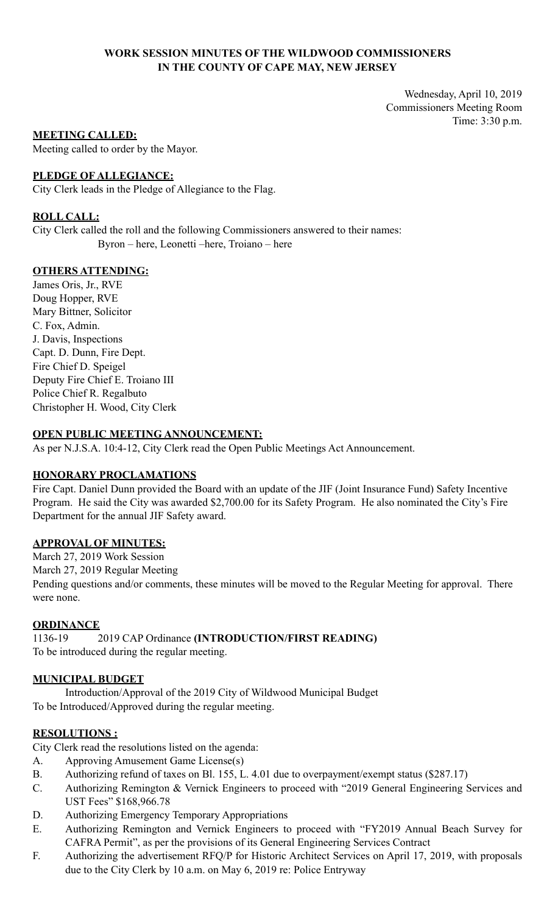## **WORK SESSION MINUTES OF THE WILDWOOD COMMISSIONERS IN THE COUNTY OF CAPE MAY, NEW JERSEY**

Wednesday, April 10, 2019 Commissioners Meeting Room Time: 3:30 p.m.

### **MEETING CALLED:**

Meeting called to order by the Mayor.

## **PLEDGE OF ALLEGIANCE:**

City Clerk leads in the Pledge of Allegiance to the Flag.

## **ROLL CALL:**

City Clerk called the roll and the following Commissioners answered to their names: Byron – here, Leonetti –here, Troiano – here

## **OTHERS ATTENDING:**

James Oris, Jr., RVE Doug Hopper, RVE Mary Bittner, Solicitor C. Fox, Admin. J. Davis, Inspections Capt. D. Dunn, Fire Dept. Fire Chief D. Speigel Deputy Fire Chief E. Troiano III Police Chief R. Regalbuto Christopher H. Wood, City Clerk

## **OPEN PUBLIC MEETING ANNOUNCEMENT:**

As per N.J.S.A. 10:4-12, City Clerk read the Open Public Meetings Act Announcement.

### **HONORARY PROCLAMATIONS**

Fire Capt. Daniel Dunn provided the Board with an update of the JIF (Joint Insurance Fund) Safety Incentive Program. He said the City was awarded \$2,700.00 for its Safety Program. He also nominated the City's Fire Department for the annual JIF Safety award.

### **APPROVAL OF MINUTES:**

March 27, 2019 Work Session March 27, 2019 Regular Meeting Pending questions and/or comments, these minutes will be moved to the Regular Meeting for approval. There were none.

### **ORDINANCE**

1136-19 2019 CAP Ordinance **(INTRODUCTION/FIRST READING)** To be introduced during the regular meeting.

### **MUNICIPAL BUDGET**

Introduction/Approval of the 2019 City of Wildwood Municipal Budget To be Introduced/Approved during the regular meeting.

### **RESOLUTIONS :**

City Clerk read the resolutions listed on the agenda:

- A. Approving Amusement Game License(s)
- B. Authorizing refund of taxes on Bl. 155, L. 4.01 due to overpayment/exempt status (\$287.17)
- C. Authorizing Remington & Vernick Engineers to proceed with "2019 General Engineering Services and UST Fees" \$168,966.78
- D. Authorizing Emergency Temporary Appropriations
- E. Authorizing Remington and Vernick Engineers to proceed with "FY2019 Annual Beach Survey for CAFRA Permit", as per the provisions of its General Engineering Services Contract
- F. Authorizing the advertisement RFQ/P for Historic Architect Services on April 17, 2019, with proposals due to the City Clerk by 10 a.m. on May 6, 2019 re: Police Entryway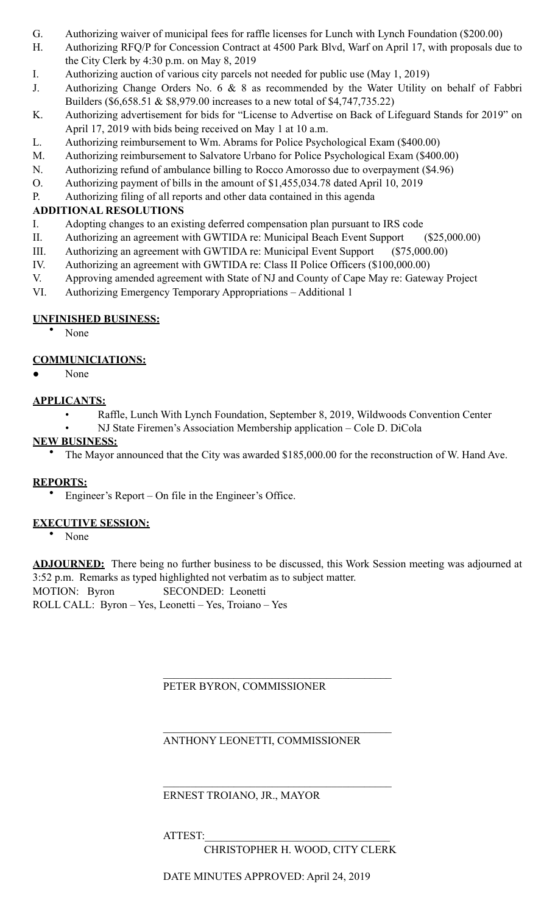- G. Authorizing waiver of municipal fees for raffle licenses for Lunch with Lynch Foundation (\$200.00)
- H. Authorizing RFQ/P for Concession Contract at 4500 Park Blvd, Warf on April 17, with proposals due to the City Clerk by 4:30 p.m. on May 8, 2019
- I. Authorizing auction of various city parcels not needed for public use (May 1, 2019)
- J. Authorizing Change Orders No. 6 & 8 as recommended by the Water Utility on behalf of Fabbri Builders (\$6,658.51 & \$8,979.00 increases to a new total of \$4,747,735.22)
- K. Authorizing advertisement for bids for "License to Advertise on Back of Lifeguard Stands for 2019" on April 17, 2019 with bids being received on May 1 at 10 a.m.
- L. Authorizing reimbursement to Wm. Abrams for Police Psychological Exam (\$400.00)
- M. Authorizing reimbursement to Salvatore Urbano for Police Psychological Exam (\$400.00)
- N. Authorizing refund of ambulance billing to Rocco Amorosso due to overpayment (\$4.96)
- O. Authorizing payment of bills in the amount of \$1,455,034.78 dated April 10, 2019
- P. Authorizing filing of all reports and other data contained in this agenda

## **ADDITIONAL RESOLUTIONS**

- I. Adopting changes to an existing deferred compensation plan pursuant to IRS code
- II. Authorizing an agreement with GWTIDA re: Municipal Beach Event Support (\$25,000.00)
- III. Authorizing an agreement with GWTIDA re: Municipal Event Support (\$75,000.00)
- IV. Authorizing an agreement with GWTIDA re: Class II Police Officers (\$100,000.00)
- V. Approving amended agreement with State of NJ and County of Cape May re: Gateway Project
- VI. Authorizing Emergency Temporary Appropriations Additional 1

## **UNFINISHED BUSINESS:**

• None

## **COMMUNICIATIONS:**

None

## **APPLICANTS:**

- Raffle, Lunch With Lynch Foundation, September 8, 2019, Wildwoods Convention Center
	- NJ State Firemen's Association Membership application Cole D. DiCola

## **NEW BUSINESS:**

• The Mayor announced that the City was awarded \$185,000.00 for the reconstruction of W. Hand Ave.

## **REPORTS:**

• Engineer's Report – On file in the Engineer's Office.

## **EXECUTIVE SESSION:**

• None

**ADJOURNED:** There being no further business to be discussed, this Work Session meeting was adjourned at 3:52 p.m. Remarks as typed highlighted not verbatim as to subject matter.

MOTION: Byron SECONDED: Leonetti

ROLL CALL: Byron – Yes, Leonetti – Yes, Troiano – Yes

PETER BYRON, COMMISSIONER

 $\mathcal{L}_\mathcal{L} = \mathcal{L}_\mathcal{L} = \mathcal{L}_\mathcal{L} = \mathcal{L}_\mathcal{L} = \mathcal{L}_\mathcal{L} = \mathcal{L}_\mathcal{L} = \mathcal{L}_\mathcal{L} = \mathcal{L}_\mathcal{L} = \mathcal{L}_\mathcal{L} = \mathcal{L}_\mathcal{L} = \mathcal{L}_\mathcal{L} = \mathcal{L}_\mathcal{L} = \mathcal{L}_\mathcal{L} = \mathcal{L}_\mathcal{L} = \mathcal{L}_\mathcal{L} = \mathcal{L}_\mathcal{L} = \mathcal{L}_\mathcal{L}$ 

 $\mathcal{L}_\mathcal{L} = \mathcal{L}_\mathcal{L} = \mathcal{L}_\mathcal{L} = \mathcal{L}_\mathcal{L} = \mathcal{L}_\mathcal{L} = \mathcal{L}_\mathcal{L} = \mathcal{L}_\mathcal{L} = \mathcal{L}_\mathcal{L} = \mathcal{L}_\mathcal{L} = \mathcal{L}_\mathcal{L} = \mathcal{L}_\mathcal{L} = \mathcal{L}_\mathcal{L} = \mathcal{L}_\mathcal{L} = \mathcal{L}_\mathcal{L} = \mathcal{L}_\mathcal{L} = \mathcal{L}_\mathcal{L} = \mathcal{L}_\mathcal{L}$ 

 $\mathcal{L}_\mathcal{L} = \mathcal{L}_\mathcal{L} = \mathcal{L}_\mathcal{L} = \mathcal{L}_\mathcal{L} = \mathcal{L}_\mathcal{L} = \mathcal{L}_\mathcal{L} = \mathcal{L}_\mathcal{L} = \mathcal{L}_\mathcal{L} = \mathcal{L}_\mathcal{L} = \mathcal{L}_\mathcal{L} = \mathcal{L}_\mathcal{L} = \mathcal{L}_\mathcal{L} = \mathcal{L}_\mathcal{L} = \mathcal{L}_\mathcal{L} = \mathcal{L}_\mathcal{L} = \mathcal{L}_\mathcal{L} = \mathcal{L}_\mathcal{L}$ 

## ANTHONY LEONETTI, COMMISSIONER

## ERNEST TROIANO, JR., MAYOR

ATTEST:

CHRISTOPHER H. WOOD, CITY CLERK

DATE MINUTES APPROVED: April 24, 2019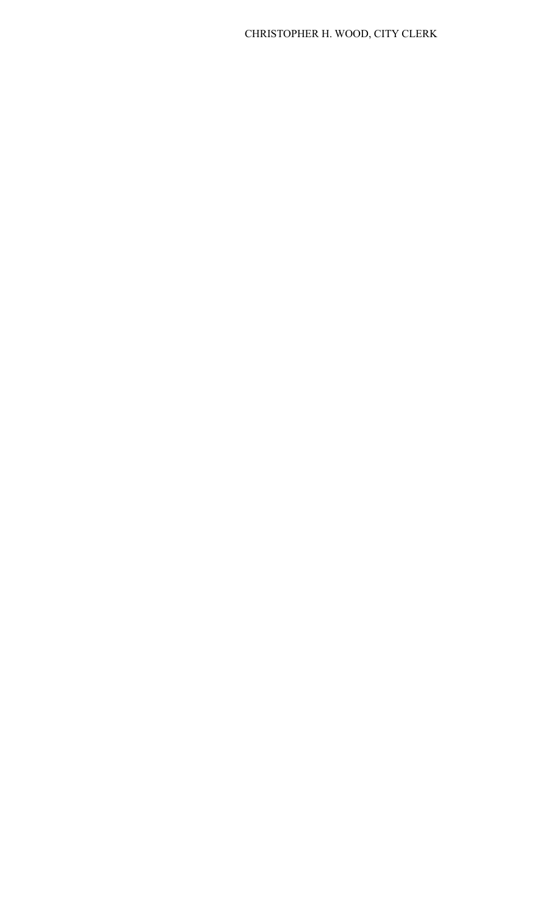# CHRISTOPHER H. WOOD, CITY CLERK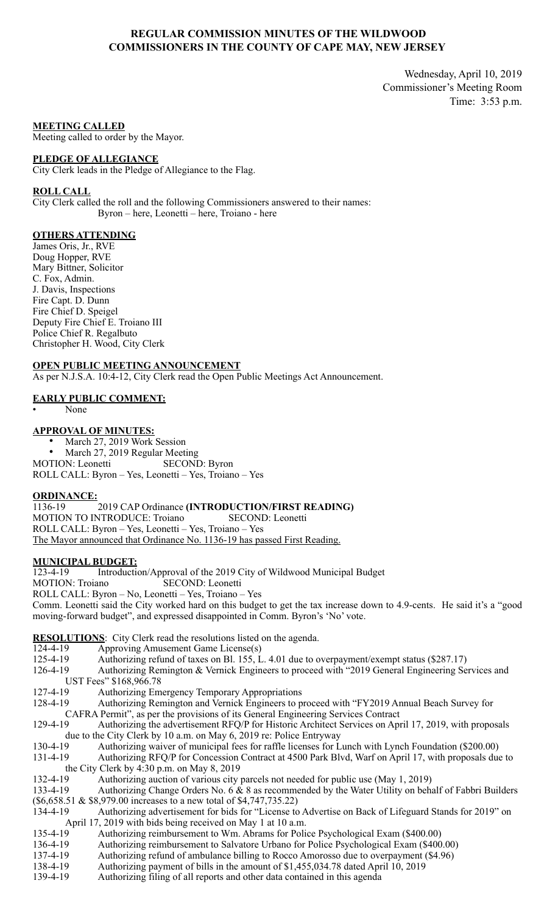### **REGULAR COMMISSION MINUTES OF THE WILDWOOD COMMISSIONERS IN THE COUNTY OF CAPE MAY, NEW JERSEY**

Wednesday, April 10, 2019 Commissioner's Meeting Room Time: 3:53 p.m.

**MEETING CALLED**

Meeting called to order by the Mayor.

#### **PLEDGE OF ALLEGIANCE**

City Clerk leads in the Pledge of Allegiance to the Flag.

#### **ROLL CALL**

City Clerk called the roll and the following Commissioners answered to their names: Byron – here, Leonetti – here, Troiano - here

#### **OTHERS ATTENDING**

James Oris, Jr., RVE Doug Hopper, RVE Mary Bittner, Solicitor C. Fox, Admin. J. Davis, Inspections Fire Capt. D. Dunn Fire Chief D. Speigel Deputy Fire Chief E. Troiano III Police Chief R. Regalbuto Christopher H. Wood, City Clerk

**OPEN PUBLIC MEETING ANNOUNCEMENT** As per N.J.S.A. 10:4-12, City Clerk read the Open Public Meetings Act Announcement.

#### **EARLY PUBLIC COMMENT:**

• None

#### **APPROVAL OF MINUTES:**

March 27, 2019 Work Session • March 27, 2019 Regular Meeting MOTION: Leonetti SECOND: Byron

ROLL CALL: Byron – Yes, Leonetti – Yes, Troiano – Yes

## **ORDINANCE:**

1136-19 2019 CAP Ordinance **(INTRODUCTION/FIRST READING)** MOTION TO INTRODUCE: Troiano SECOND: Leonetti ROLL CALL: Byron – Yes, Leonetti – Yes, Troiano – Yes The Mayor announced that Ordinance No. 1136-19 has passed First Reading.

#### **MUNICIPAL BUDGET:**

123-4-19 Introduction/Approval of the 2019 City of Wildwood Municipal Budget MOTION: Troiano SECOND: Leonetti ROLL CALL: Byron – No, Leonetti – Yes, Troiano – Yes Comm. Leonetti said the City worked hard on this budget to get the tax increase down to 4.9-cents. He said it's a "good moving-forward budget", and expressed disappointed in Comm. Byron's 'No' vote.

#### **RESOLUTIONS**: City Clerk read the resolutions listed on the agenda.

- 124-4-19 Approving Amusement Game License(s)<br>125-4-19 Authorizing refund of taxes on Bl. 155, L
- Authorizing refund of taxes on Bl. 155, L. 4.01 due to overpayment/exempt status (\$287.17)
- 126-4-19 Authorizing Remington & Vernick Engineers to proceed with "2019 General Engineering Services and UST Fees" \$168,966.78
- 127-4-19 Authorizing Emergency Temporary Appropriations
- 128-4-19 Authorizing Remington and Vernick Engineers to proceed with "FY2019 Annual Beach Survey for CAFRA Permit", as per the provisions of its General Engineering Services Contract

129-4-19 Authorizing the advertisement RFQ/P for Historic Architect Services on April 17, 2019, with proposals due to the City Clerk by 10 a.m. on May 6, 2019 re: Police Entryway

- 130-4-19 Authorizing waiver of municipal fees for raffle licenses for Lunch with Lynch Foundation (\$200.00)
- 131-4-19 Authorizing RFQ/P for Concession Contract at 4500 Park Blvd, Warf on April 17, with proposals due to the City Clerk by 4:30 p.m. on May 8, 2019
- 132-4-19 Authorizing auction of various city parcels not needed for public use (May 1, 2019)
- 133-4-19 Authorizing Change Orders No. 6 & 8 as recommended by the Water Utility on behalf of Fabbri Builders (\$6,658.51 & \$8,979.00 increases to a new total of \$4,747,735.22)
- 134-4-19 Authorizing advertisement for bids for "License to Advertise on Back of Lifeguard Stands for 2019" on April 17, 2019 with bids being received on May 1 at 10 a.m.
- 135-4-19 Authorizing reimbursement to Wm. Abrams for Police Psychological Exam (\$400.00)
- 136-4-19 Authorizing reimbursement to Salvatore Urbano for Police Psychological Exam (\$400.00)
- 137-4-19 Authorizing refund of ambulance billing to Rocco Amorosso due to overpayment (\$4.96)
- 138-4-19 Authorizing payment of bills in the amount of \$1,455,034.78 dated April 10, 2019
- 139-4-19 Authorizing filing of all reports and other data contained in this agenda